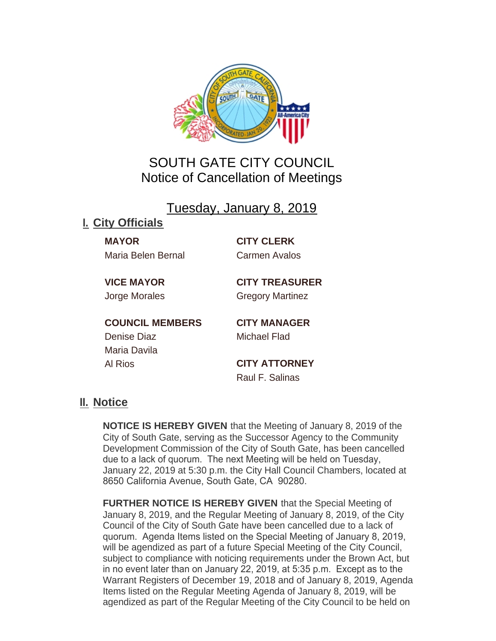

## SOUTH GATE CITY COUNCIL Notice of Cancellation of Meetings

Tuesday, January 8, 2019

## **City Officials I.**

**MAYOR CITY CLERK** Maria Belen Bernal Carmen Avalos

**VICE MAYOR CITY TREASURER** Jorge Morales Gregory Martinez

**COUNCIL MEMBERS CITY MANAGER** Denise Diaz Michael Flad Maria Davila Al Rios **CITY ATTORNEY**

Raul F. Salinas

## <u>II. Notice</u>

**NOTICE IS HEREBY GIVEN** that the Meeting of January 8, 2019 of the City of South Gate, serving as the Successor Agency to the Community Development Commission of the City of South Gate, has been cancelled due to a lack of quorum. The next Meeting will be held on Tuesday, January 22, 2019 at 5:30 p.m. the City Hall Council Chambers, located at 8650 California Avenue, South Gate, CA 90280.

**FURTHER NOTICE IS HEREBY GIVEN** that the Special Meeting of January 8, 2019, and the Regular Meeting of January 8, 2019, of the City Council of the City of South Gate have been cancelled due to a lack of quorum. Agenda Items listed on the Special Meeting of January 8, 2019, will be agendized as part of a future Special Meeting of the City Council, subject to compliance with noticing requirements under the Brown Act, but in no event later than on January 22, 2019, at 5:35 p.m. Except as to the Warrant Registers of December 19, 2018 and of January 8, 2019, Agenda Items listed on the Regular Meeting Agenda of January 8, 2019, will be agendized as part of the Regular Meeting of the City Council to be held on